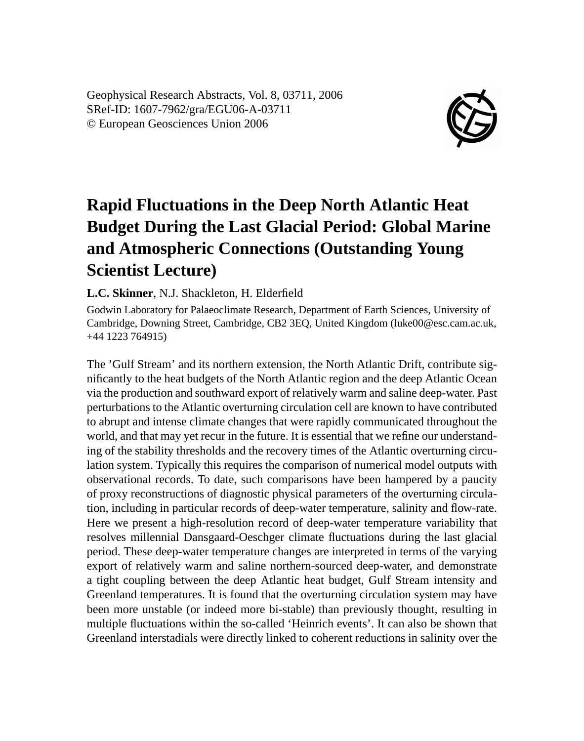Geophysical Research Abstracts, Vol. 8, 03711, 2006 SRef-ID: 1607-7962/gra/EGU06-A-03711 © European Geosciences Union 2006



## **Rapid Fluctuations in the Deep North Atlantic Heat Budget During the Last Glacial Period: Global Marine and Atmospheric Connections (Outstanding Young Scientist Lecture)**

**L.C. Skinner**, N.J. Shackleton, H. Elderfield

Godwin Laboratory for Palaeoclimate Research, Department of Earth Sciences, University of Cambridge, Downing Street, Cambridge, CB2 3EQ, United Kingdom (luke00@esc.cam.ac.uk, +44 1223 764915)

The 'Gulf Stream' and its northern extension, the North Atlantic Drift, contribute significantly to the heat budgets of the North Atlantic region and the deep Atlantic Ocean via the production and southward export of relatively warm and saline deep-water. Past perturbations to the Atlantic overturning circulation cell are known to have contributed to abrupt and intense climate changes that were rapidly communicated throughout the world, and that may yet recur in the future. It is essential that we refine our understanding of the stability thresholds and the recovery times of the Atlantic overturning circulation system. Typically this requires the comparison of numerical model outputs with observational records. To date, such comparisons have been hampered by a paucity of proxy reconstructions of diagnostic physical parameters of the overturning circulation, including in particular records of deep-water temperature, salinity and flow-rate. Here we present a high-resolution record of deep-water temperature variability that resolves millennial Dansgaard-Oeschger climate fluctuations during the last glacial period. These deep-water temperature changes are interpreted in terms of the varying export of relatively warm and saline northern-sourced deep-water, and demonstrate a tight coupling between the deep Atlantic heat budget, Gulf Stream intensity and Greenland temperatures. It is found that the overturning circulation system may have been more unstable (or indeed more bi-stable) than previously thought, resulting in multiple fluctuations within the so-called 'Heinrich events'. It can also be shown that Greenland interstadials were directly linked to coherent reductions in salinity over the